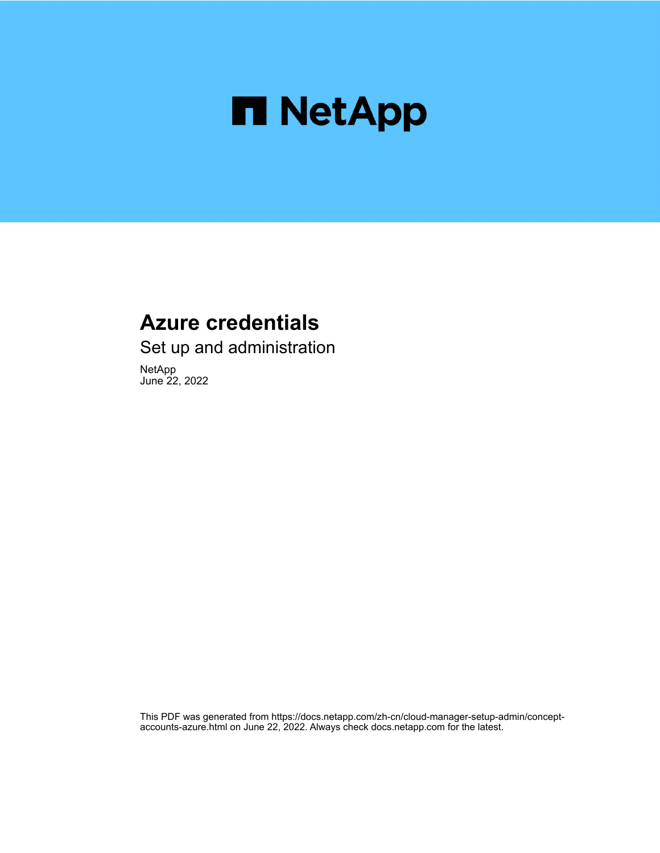

## **Azure credentials**

Set up and administration

NetApp June 22, 2022

This PDF was generated from https://docs.netapp.com/zh-cn/cloud-manager-setup-admin/conceptaccounts-azure.html on June 22, 2022. Always check docs.netapp.com for the latest.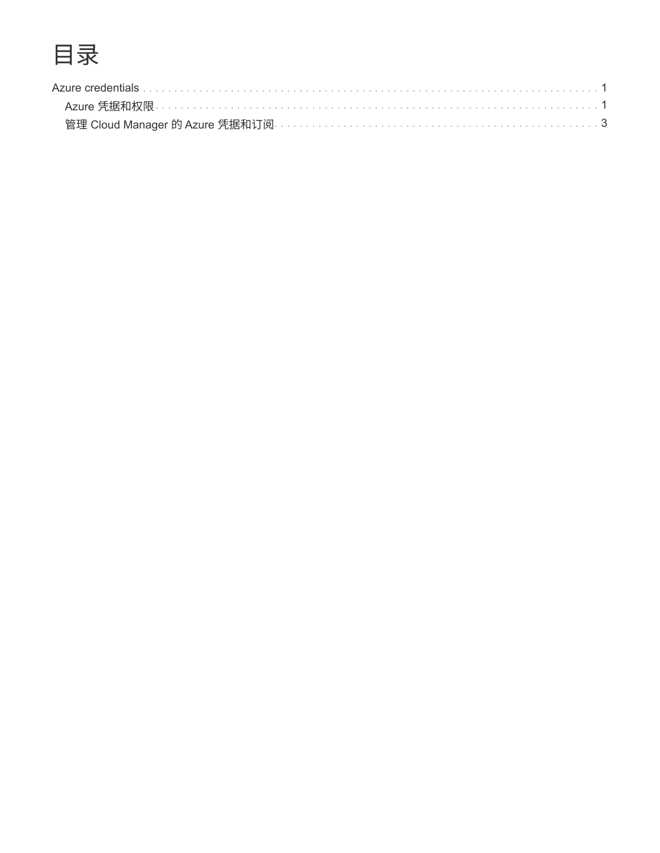# 目录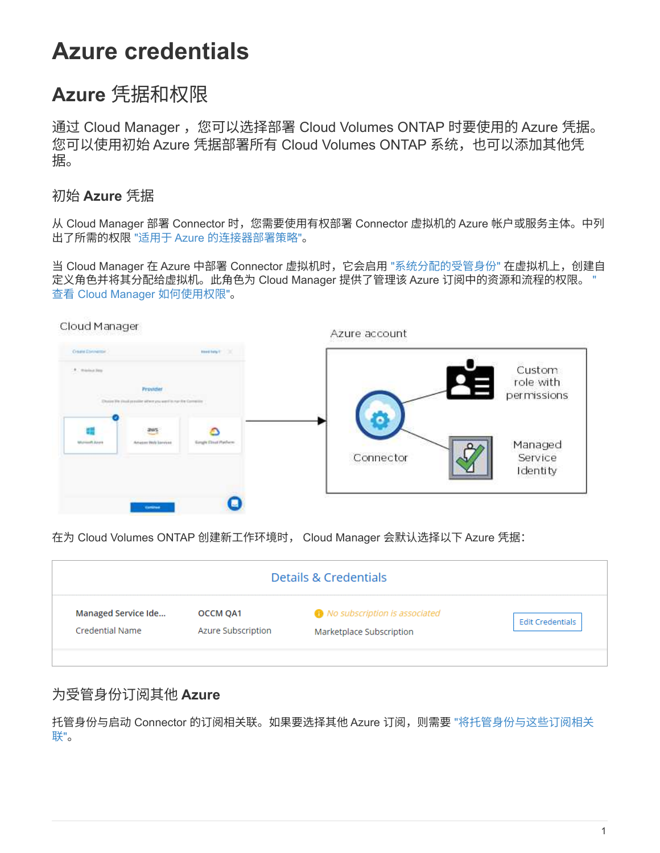# <span id="page-2-0"></span>**Azure credentials**

## <span id="page-2-1"></span>**Azure** 凭据和权限

通过 Cloud Manager,您可以选择部署 Cloud Volumes ONTAP 时要使用的 Azure 凭据。 您可以使用初始 Azure 凭据部署所有 Cloud Volumes ONTAP 系统,也可以添加其他凭 据。

## 初始 **Azure** 凭据

从 Cloud Manager 部署 Connector 时,您需要使用有权部署 Connector 虚拟机的 Azure 帐户或服务主体。中列 出了所需的权限 ["](https://mysupport.netapp.com/site/info/cloud-manager-policies)[适用于](https://mysupport.netapp.com/site/info/cloud-manager-policies) [Azure](https://mysupport.netapp.com/site/info/cloud-manager-policies) [的连接器部署策略](https://mysupport.netapp.com/site/info/cloud-manager-policies)["](https://mysupport.netapp.com/site/info/cloud-manager-policies)。

当 Cloud Manager 在 Azure 中部署 Connector 虚拟机时, 它会启用 ["](https://docs.microsoft.com/en-us/azure/active-directory/managed-identities-azure-resources/overview)[系统分配的受管身份](https://docs.microsoft.com/en-us/azure/active-directory/managed-identities-azure-resources/overview)" 在虚拟机上, 创建自 定义角色并将其分配给虚拟机。此角色为 Cloud Manager 提供了管理该 Azure 订阅中的资源和流程的权限。 ["](https://docs.netapp.com/zh-cn/cloud-manager-setup-admin/reference-permissions-azure.html) [查看](https://docs.netapp.com/zh-cn/cloud-manager-setup-admin/reference-permissions-azure.html) [Cloud Manager](https://docs.netapp.com/zh-cn/cloud-manager-setup-admin/reference-permissions-azure.html) [如何使用权限](https://docs.netapp.com/zh-cn/cloud-manager-setup-admin/reference-permissions-azure.html)["](https://docs.netapp.com/zh-cn/cloud-manager-setup-admin/reference-permissions-azure.html)。





在为 Cloud Volumes ONTAP 创建新工作环境时, Cloud Manager 会默认选择以下 Azure 凭据:

|                     |                    | Details & Credentials                |                         |
|---------------------|--------------------|--------------------------------------|-------------------------|
| Managed Service Ide | <b>OCCM QA1</b>    | <i>No subscription is associated</i> | <b>Edit Credentials</b> |
| Credential Name     | Azure Subscription | Marketplace Subscription             |                         |

## 为受管身份订阅其他 **Azure**

托管身份与启动 Connector 的订阅相关联。如果要选择其他 Azure 订阅, 则需要 ["](#page-4-0)[将托管身份与这些订阅相关](#page-4-0) [联](#page-4-0)["](#page-4-0)。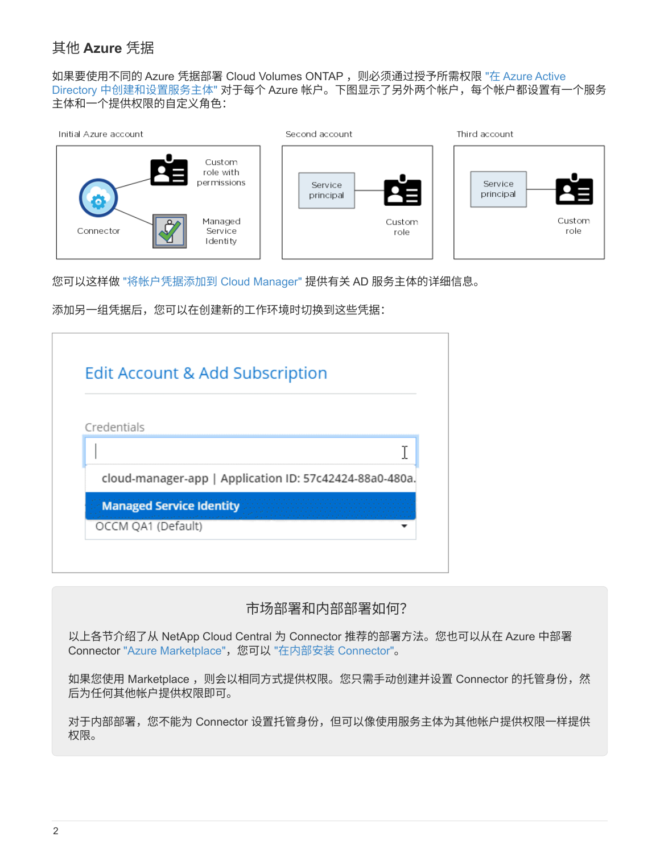## 其他 **Azure** 凭据

如果要使用不同的 Azure 凭据部署 Cloud Volumes ONTAP, 则必须通过授予所需权限 ["](#page-4-0)[在](#page-4-0) [Azure Active](#page-4-0) [Directory](#page-4-0) [中创建和设置服务主体](#page-4-0)["](#page-4-0) 对于每个 Azure 帐户。下图显示了另外两个帐户,每个帐户都设置有一个服务 主体和一个提供权限的自定义角色:



您可以这样做 ["](#page-4-0)[将帐户凭据添加到](#page-4-0) [Cloud Manager"](#page-4-0) 提供有关 AD 服务主体的详细信息。

添加另一组凭据后,您可以在创建新的工作环境时切换到这些凭据:

|                    | Edit Account & Add Subscription                         |
|--------------------|---------------------------------------------------------|
|                    |                                                         |
| Credentials        |                                                         |
|                    |                                                         |
|                    | cloud-manager-app   Application ID: 57c42424-88a0-480a. |
|                    | <b>Managed Service Identity</b>                         |
| OCCM QA1 (Default) |                                                         |

## 市场部署和内部部署如何?

以上各节介绍了从 NetApp Cloud Central 为 Connector 推荐的部署方法。您也可以从在 Azure 中部署 Connector ["Azure Marketplace"](https://docs.netapp.com/zh-cn/cloud-manager-setup-admin/task-launching-azure-mktp.html),您可以 ["](https://docs.netapp.com/zh-cn/cloud-manager-setup-admin/task-installing-linux.html)[在内部安装](https://docs.netapp.com/zh-cn/cloud-manager-setup-admin/task-installing-linux.html) [Connector"](https://docs.netapp.com/zh-cn/cloud-manager-setup-admin/task-installing-linux.html)。

如果您使用 Marketplace ,则会以相同方式提供权限。您只需手动创建并设置 Connector 的托管身份,然 后为任何其他帐户提供权限即可。

对于内部部署,您不能为 Connector 设置托管身份,但可以像使用服务主体为其他帐户提供权限一样提供 权限。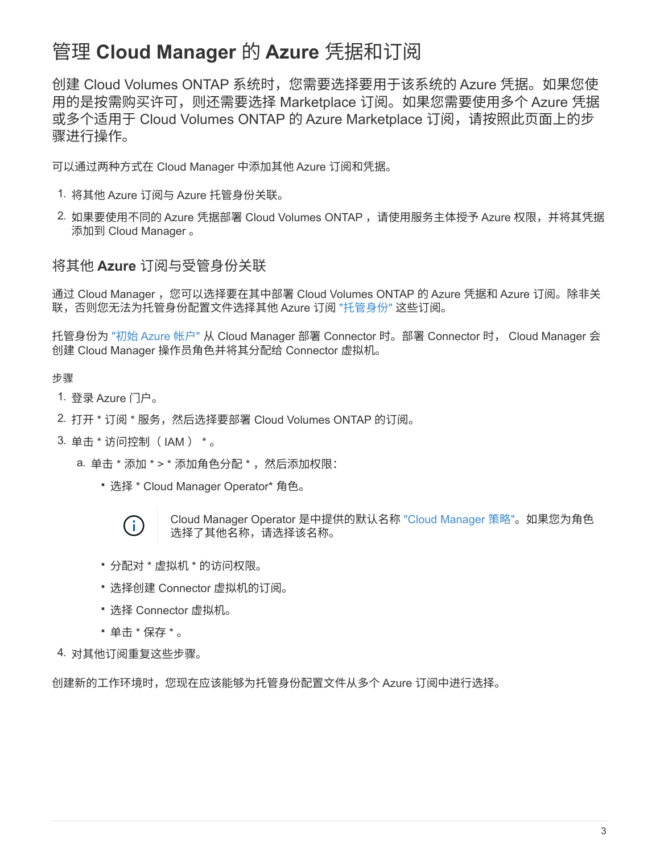## <span id="page-4-0"></span>管理 **Cloud Manager** 的 **Azure** 凭据和订阅

创建 Cloud Volumes ONTAP 系统时,您需要选择要用于该系统的 Azure 凭据。如果您使 用的是按需购买许可,则还需要选择 Marketplace 订阅。如果您需要使用多个 Azure 凭据 或多个适用于 Cloud Volumes ONTAP 的 Azure Marketplace 订阅,请按照此页面上的步 骤进行操作。

可以通过两种方式在 Cloud Manager 中添加其他 Azure 订阅和凭据。

- 1. 将其他 Azure 订阅与 Azure 托管身份关联。
- 2. 如果要使用不同的 Azure 凭据部署 Cloud Volumes ONTAP ,请使用服务主体授予 Azure 权限,并将其凭据 添加到 Cloud Manager 。

### 将其他 **Azure** 订阅与受管身份关联

通过 Cloud Manager ,您可以选择要在其中部署 Cloud Volumes ONTAP 的 Azure 凭据和 Azure 订阅。除非关 联,否则您无法为托管身份配置文件选择其他 Azure 订阅 ["](https://docs.microsoft.com/en-us/azure/active-directory/managed-identities-azure-resources/overview)[托管身份](https://docs.microsoft.com/en-us/azure/active-directory/managed-identities-azure-resources/overview)["](https://docs.microsoft.com/en-us/azure/active-directory/managed-identities-azure-resources/overview) 这些订阅。

托管身份为 ["](#page-2-1)[初始](#page-2-1) [Azure](#page-2-1) [帐户](#page-2-1)["](#page-2-1) 从 Cloud Manager 部署 Connector 时。部署 Connector 时, Cloud Manager 会 创建 Cloud Manager 操作员角色并将其分配给 Connector 虚拟机。

#### 步骤

- 1. 登录 Azure 门户。
- 2. 打开 \* 订阅 \* 服务,然后选择要部署 Cloud Volumes ONTAP 的订阅。
- 3. 单击 \* 访问控制( IAM ) \* 。
	- a. 单击 \* 添加 \* > \* 添加角色分配 \*, 然后添加权限:
		- 选择 \* Cloud Manager Operator\* 角色。



Cloud Manager Operator 是中提供的默认名称 ["Cloud Manager](https://mysupport.netapp.com/site/info/cloud-manager-policies) [策略](https://mysupport.netapp.com/site/info/cloud-manager-policies)["](https://mysupport.netapp.com/site/info/cloud-manager-policies)。如果您为角色 选择了其他名称,请选择该名称。

- 分配对 \* 虚拟机 \* 的访问权限。
- 选择创建 Connector 虚拟机的订阅。
- 选择 Connector 虚拟机。
- 单击 \* 保存 \* 。

4. 对其他订阅重复这些步骤。

创建新的工作环境时,您现在应该能够为托管身份配置文件从多个 Azure 订阅中进行选择。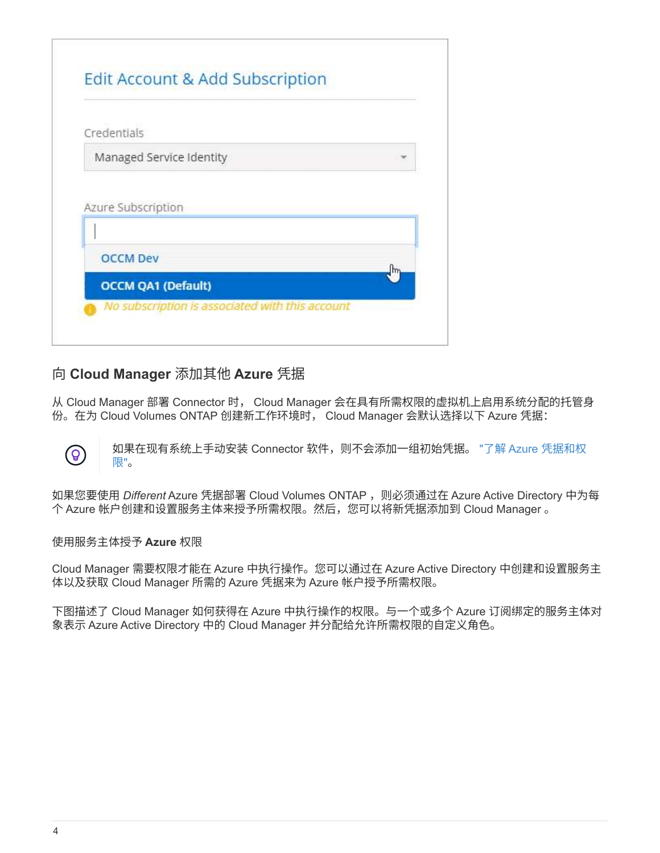| Credentials              |  |
|--------------------------|--|
| Managed Service Identity |  |
|                          |  |
|                          |  |
| <b>OCCM Dev</b>          |  |

## 向 **Cloud Manager** 添加其他 **Azure** 凭据

从 Cloud Manager 部署 Connector 时, Cloud Manager 会在具有所需权限的虚拟机上启用系统分配的托管身 份。在为 Cloud Volumes ONTAP 创建新工作环境时, Cloud Manager 会默认选择以下 Azure 凭据:

如果在现有系统上手动安装 Connector 软件,则不会添加一组初始凭据。 ["](#page-2-1)[了解](#page-2-1) [Azure](#page-2-1) [凭据和权](#page-2-1) [限](#page-2-1)["](#page-2-1)。

如果您要使用 Different Azure 凭据部署 Cloud Volumes ONTAP, 则必须通过在 Azure Active Directory 中为每 个 Azure 帐户创建和设置服务主体来授予所需权限。然后,您可以将新凭据添加到 Cloud Manager 。

#### 使用服务主体授予 **Azure** 权限

 $\left( \mathsf{Q}\right)$ 

Cloud Manager 需要权限才能在 Azure 中执行操作。您可以通过在 Azure Active Directory 中创建和设置服务主 体以及获取 Cloud Manager 所需的 Azure 凭据来为 Azure 帐户授予所需权限。

下图描述了 Cloud Manager 如何获得在 Azure 中执行操作的权限。与一个或多个 Azure 订阅绑定的服务主体对 象表示 Azure Active Directory 中的 Cloud Manager 并分配给允许所需权限的自定义角色。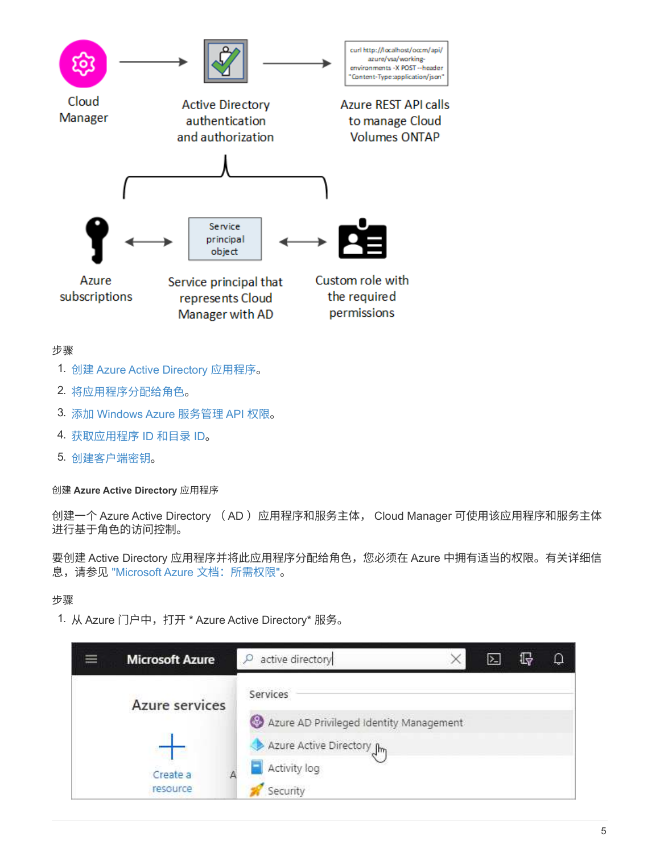

#### 步骤

- 1. 创建 Azure Active Directory 应用程序。
- 2. 将应用程序分配给角色。
- 3. 添加 Windows Azure 服务管理 API 权限。
- 4. 获取应用程序 ID 和目录 ID。
- 5. 创建客户端密钥。

创建 **Azure Active Directory** 应用程序

创建一个 Azure Active Directory ( AD )应用程序和服务主体, Cloud Manager 可使用该应用程序和服务主体 进行基于角色的访问控制。

要创建 Active Directory 应用程序并将此应用程序分配给角色,您必须在 Azure 中拥有适当的权限。有关详细信 息,请参见 ["Microsoft Azure](https://docs.microsoft.com/en-us/azure/active-directory/develop/howto-create-service-principal-portal#required-permissions/) [文](https://docs.microsoft.com/en-us/azure/active-directory/develop/howto-create-service-principal-portal#required-permissions/)[档](https://docs.microsoft.com/en-us/azure/active-directory/develop/howto-create-service-principal-portal#required-permissions/)[:所需权限](https://docs.microsoft.com/en-us/azure/active-directory/develop/howto-create-service-principal-portal#required-permissions/)["](https://docs.microsoft.com/en-us/azure/active-directory/develop/howto-create-service-principal-portal#required-permissions/)。

#### 步骤

1. 从 Azure 门户中,打开 \* Azure Active Directory\* 服务。

| <b>Microsoft Azure</b> | active directory<br>Ω                   | 1>− | ♧ | Q |
|------------------------|-----------------------------------------|-----|---|---|
| Azure services         | Services                                |     |   |   |
|                        | Azure AD Privileged Identity Management |     |   |   |
|                        | Azure Active Directory Jhn              |     |   |   |
| Create a               | Activity log                            |     |   |   |
| resource               | Security                                |     |   |   |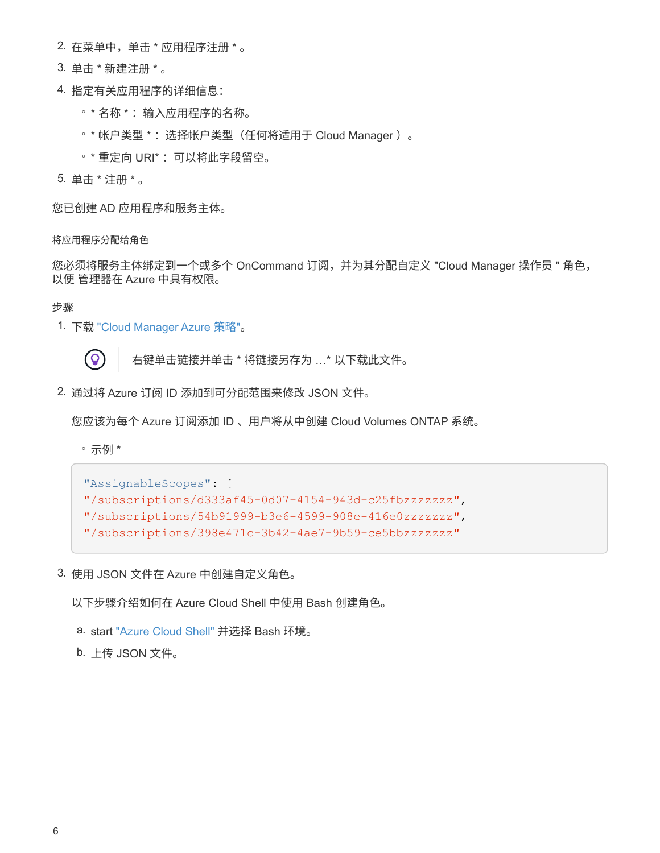- 2. 在菜单中,单击 \* 应用程序注册 \* 。
- 3. 单击 \* 新建注册 \* 。
- 4. 指定有关应用程序的详细信息:
	- 。\* 名称 \*: 输入应用程序的名称。
	- \* 帐户类型 \* :选择帐户类型(任何将适用于 Cloud Manager )。
	- 。\* 重定向 URI\* : 可以将此字段留空。
- 5. 单击 \* 注册 \* 。

您已创建 AD 应用程序和服务主体。

将应用程序分配给角色

您必须将服务主体绑定到一个或多个 OnCommand 订阅,并为其分配自定义 "Cloud Manager 操作员 " 角色, 以便 管理器在 Azure 中具有权限。

步骤

1. 下载 ["Cloud Manager Azure](https://mysupport.netapp.com/site/info/cloud-manager-policies) [策略](https://mysupport.netapp.com/site/info/cloud-manager-policies)["](https://mysupport.netapp.com/site/info/cloud-manager-policies)。



右键单击链接并单击 \* 将链接另存为 …\* 以下载此文件。

2. 通过将 Azure 订阅 ID 添加到可分配范围来修改 JSON 文件。

您应该为每个 Azure 订阅添加 ID 、用户将从中创建 Cloud Volumes ONTAP 系统。

◦ 示例 \*

```
"AssignableScopes": [
"/subscriptions/d333af45-0d07-4154-943d-c25fbzzzzzzz",
"/subscriptions/54b91999-b3e6-4599-908e-416e0zzzzzzz",
"/subscriptions/398e471c-3b42-4ae7-9b59-ce5bbzzzzzzz"
```
3. 使用 JSON 文件在 Azure 中创建自定义角色。

以下步骤介绍如何在 Azure Cloud Shell 中使用 Bash 创建角色。

- a. start ["Azure Cloud Shell"](https://docs.microsoft.com/en-us/azure/cloud-shell/overview) 并选择 Bash 环境。
- b. 上传 JSON 文件。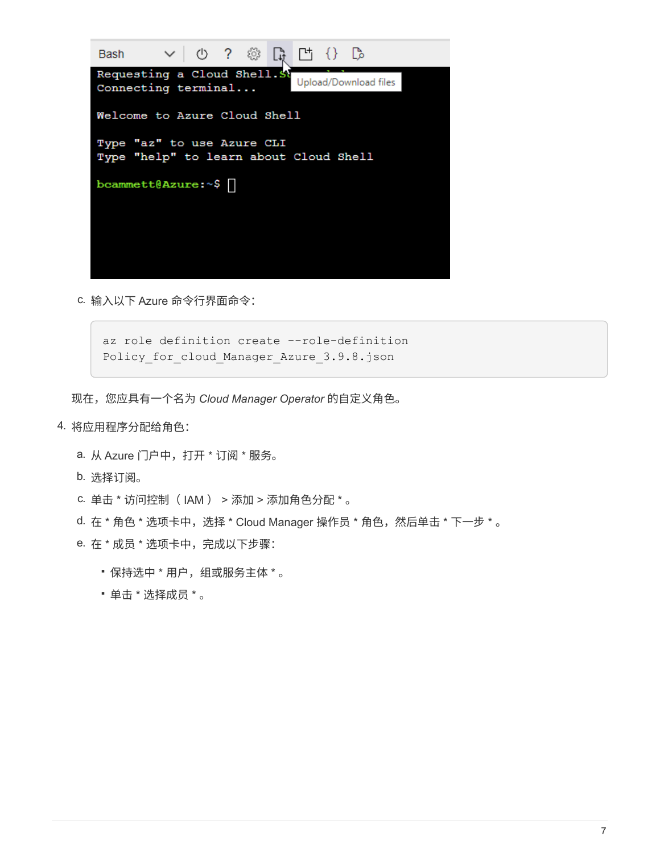

c. 输入以下 Azure 命令行界面命令:

az role definition create --role-definition Policy for cloud Manager Azure 3.9.8.json

现在,您应具有一个名为 *Cloud Manager Operator* 的自定义角色。

- 4. 将应用程序分配给角色:
	- a. 从 Azure 门户中,打开 \* 订阅 \* 服务。
	- b. 选择订阅。
	- c. 单击 \* 访问控制( IAM ) > 添加 > 添加角色分配 \* 。
	- d. 在 \* 角色 \* 选项卡中, 选择 \* Cloud Manager 操作员 \* 角色, 然后单击 \* 下一步 \* 。
	- e. 在 \* 成员 \* 选项卡中,完成以下步骤:
		- 保持选中 \* 用户,组或服务主体 \* 。
		- 单击 \* 选择成员 \* 。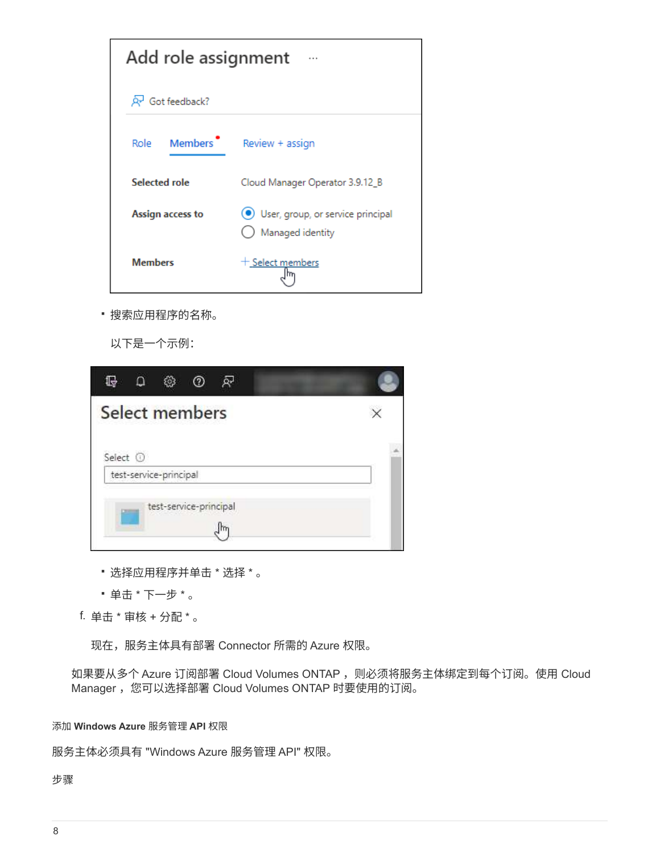| Add role assignment          | $\cdots$                                              |
|------------------------------|-------------------------------------------------------|
| R Got feedback?              |                                                       |
| Members <sup>•</sup><br>Role | Review + assign                                       |
| <b>Selected role</b>         | Cloud Manager Operator 3.9.12_B                       |
| Assign access to             | User, group, or service principal<br>Managed identity |
| <b>Members</b>               | + Select members                                      |

▪ 搜索应用程序的名称。

以下是一个示例:

| Ω<br>G<br>£S<br>℗<br>බ |  |
|------------------------|--|
| Select members         |  |
| Select <sup>(1)</sup>  |  |
| test-service-principal |  |
| test-service-principal |  |

- 选择应用程序并单击 \* 选择 \* 。
- 单击 \* 下一步 \* 。

f. 单击 \* 审核 + 分配 \* 。

现在,服务主体具有部署 Connector 所需的 Azure 权限。

如果要从多个 Azure 订阅部署 Cloud Volumes ONTAP , 则必须将服务主体绑定到每个订阅。使用 Cloud Manager ,您可以选择部署 Cloud Volumes ONTAP 时要使用的订阅。

添加 **Windows Azure** 服务管理 **API** 权限

服务主体必须具有 "Windows Azure 服务管理 API" 权限。

步骤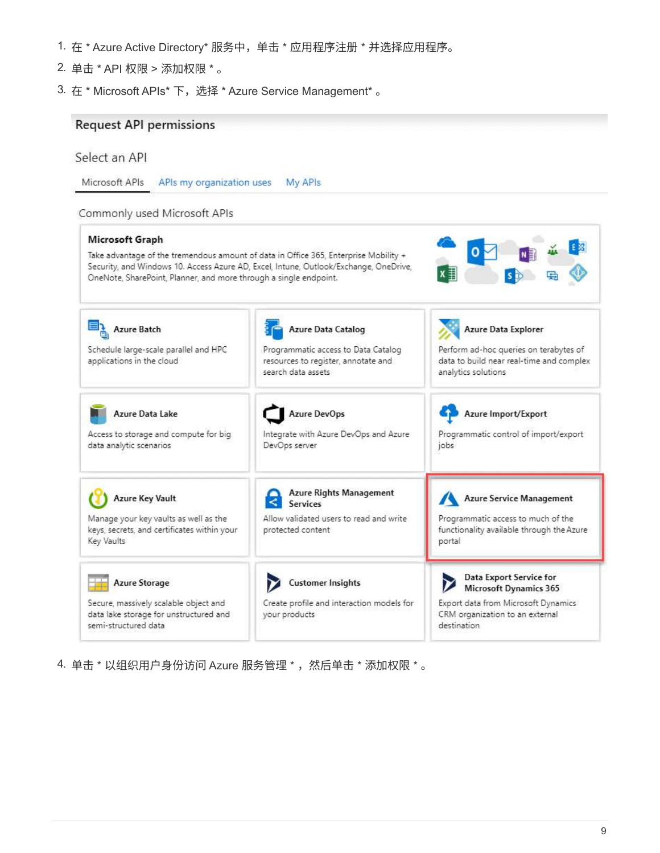- 1. 在 \* Azure Active Directory\* 服务中,单击 \* 应用程序注册 \* 并选择应用程序。
- 2. 单击 \* API 权限 > 添加权限 \* 。
- 3. 在 \* Microsoft APIs \* 下, 选择 \* Azure Service Management \* 。

#### **Request API permissions**

### Select an API

Microsoft APIs APIs my organization uses My APIs

#### Commonly used Microsoft APIs



4. 单击 \* 以组织用户身份访问 Azure 服务管理 \* , 然后单击 \* 添加权限 \* 。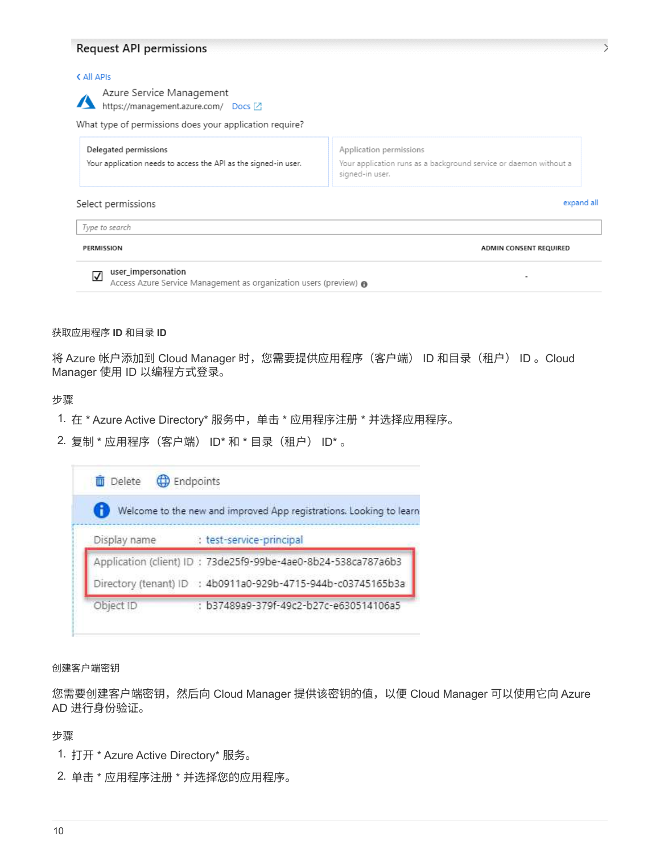#### **Request API permissions**

#### < All APIs

| Azure Service Management<br>https://management.azure.com/ Docs Z                         |                                                                                                                 |
|------------------------------------------------------------------------------------------|-----------------------------------------------------------------------------------------------------------------|
| What type of permissions does your application require?                                  |                                                                                                                 |
| Delegated permissions<br>Your application needs to access the API as the signed-in user. | Application permissions<br>Your application runs as a background service or daemon without a<br>signed-in user. |
| Select permissions                                                                       | expand all                                                                                                      |
| Type to search                                                                           |                                                                                                                 |
| PERMISSION                                                                               | ADMIN CONSENT REQUIRED                                                                                          |

#### 获取应用程序 **ID** 和目录 **ID**

将 Azure 帐户添加到 Cloud Manager 时,您需要提供应用程序(客户端) ID 和目录(租户) ID 。Cloud Manager 使用 ID 以编程方式登录。

#### 步骤

- 1. 在 \* Azure Active Directory\* 服务中,单击 \* 应用程序注册 \* 并选择应用程序。
- 2. 复制 \* 应用程序(客户端) ID\* 和 \* 目录(租户) ID\* 。

|              | Welcome to the new and improved App registrations. Looking to learn |
|--------------|---------------------------------------------------------------------|
| Display name | test-service-principal                                              |
|              | Application (client) ID: 73de25f9-99be-4ae0-8b24-538ca787a6b3       |
|              | Directory (tenant) ID : 4b0911a0-929b-4715-944b-c03745165b3a        |
| Object ID    | : b37489a9-379f-49c2-b27c-e630514106a5                              |

创建客户端密钥

您需要创建客户端密钥,然后向 Cloud Manager 提供该密钥的值,以便 Cloud Manager 可以使用它向 Azure AD 进行身份验证。

#### 步骤

- 1. 打开 \* Azure Active Directory\* 服务。
- 2. 单击 \* 应用程序注册 \* 并选择您的应用程序。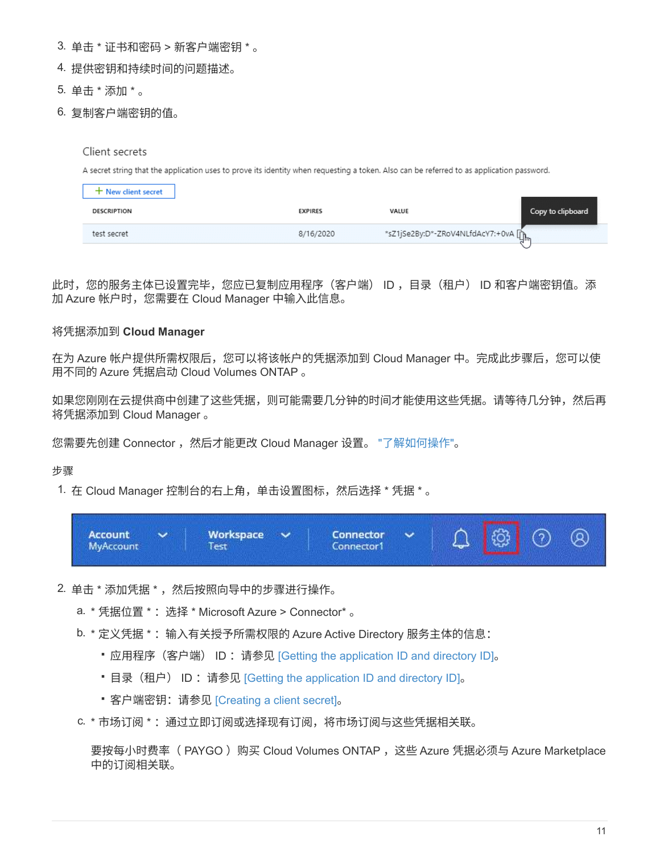- 3. 单击 \* 证书和密码 > 新客户端密钥 \* 。
- 4. 提供密钥和持续时间的问题描述。
- 5. 单击 \* 添加 \* 。
- 6. 复制客户端密钥的值。

#### Client secrets

A secret string that the application uses to prove its identity when requesting a token. Also can be referred to as application password.

| + New client secret |                |                                      |                   |
|---------------------|----------------|--------------------------------------|-------------------|
| DESCRIPTION         | <b>EXPIRES</b> | VALUE                                | Copy to clipboard |
| test secret         | 8/16/2020      | *sZ1jSe2By:D*-ZRoV4NLfdAcY7:+0vA [mm |                   |

此时,您的服务主体已设置完毕,您应已复制应用程序(客户端) ID ,目录(租户) ID 和客户端密钥值。添 加 Azure 帐户时,您需要在 Cloud Manager 中输入此信息。

#### 将凭据添加到 **Cloud Manager**

在为 Azure 帐户提供所需权限后,您可以将该帐户的凭据添加到 Cloud Manager 中。完成此步骤后,您可以使 用不同的 Azure 凭据启动 Cloud Volumes ONTAP 。

如果您刚刚在云提供商中创建了这些凭据,则可能需要几分钟的时间才能使用这些凭据。请等待几分钟,然后再 将凭据添加到 Cloud Manager 。

您需要先创建 Connector ,然后才能更改 Cloud Manager 设置。 ["](https://docs.netapp.com/zh-cn/cloud-manager-setup-admin/concept-connectors.html#how-to-create-a-connector)[了解如何操作](https://docs.netapp.com/zh-cn/cloud-manager-setup-admin/concept-connectors.html#how-to-create-a-connector)["](https://docs.netapp.com/zh-cn/cloud-manager-setup-admin/concept-connectors.html#how-to-create-a-connector)。

#### 步骤

1. 在 Cloud Manager 控制台的右上角,单击设置图标,然后选择 \* 凭据 \* 。



- 2. 单击 \* 添加凭据 \* ,然后按照向导中的步骤进行操作。
	- a. \* 凭据位置 \*: 选择 \* Microsoft Azure > Connector\* 。
	- b. \* 定义凭据 \*: 输入有关授予所需权限的 Azure Active Directory 服务主体的信息:
		- 应用程序(客户端) ID :请参见 [Getting the application ID and directory ID]。
		- 目录(租户) ID: 请参见 [Getting the application ID and directory ID]。
		- 客户端密钥:请参见 [Creating a client secret]。
	- c. \* 市场订阅 \*: 通过立即订阅或选择现有订阅,将市场订阅与这些凭据相关联。

要按每小时费率( PAYGO )购买 Cloud Volumes ONTAP ,这些 Azure 凭据必须与 Azure Marketplace 中的订阅相关联。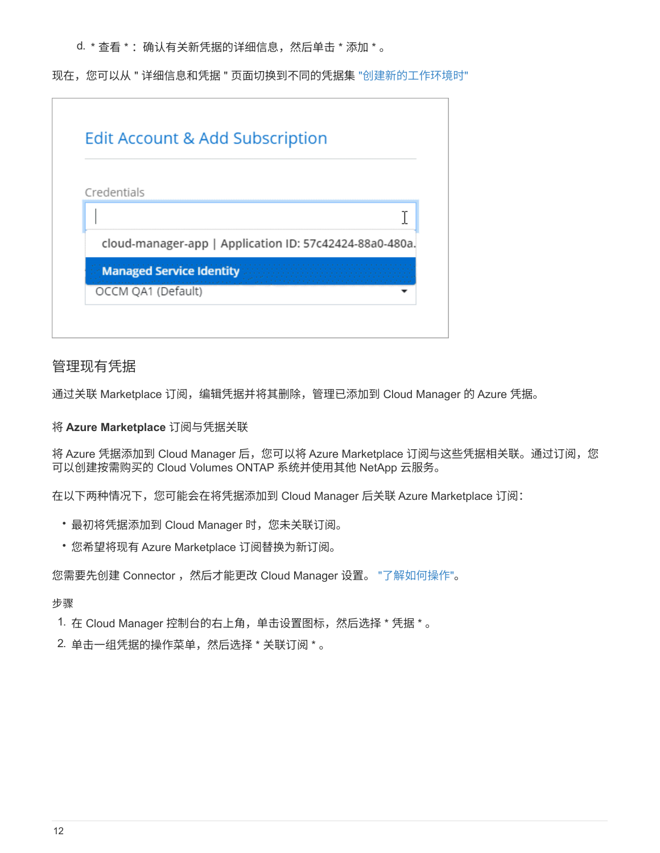d. \* 查看 \* : 确认有关新凭据的详细信息, 然后单击 \* 添加 \* 。

现在,您可以从 " 详细信息和凭据 " 页面切换到不同的凭据集 ["](https://docs.netapp.com/us-en/cloud-manager-cloud-volumes-ontap/task-deploying-otc-azure.html)[创建新的工作环境时](https://docs.netapp.com/us-en/cloud-manager-cloud-volumes-ontap/task-deploying-otc-azure.html)["](https://docs.netapp.com/us-en/cloud-manager-cloud-volumes-ontap/task-deploying-otc-azure.html)

| Edit Account & Add Subscription                         |  |
|---------------------------------------------------------|--|
| Credentials                                             |  |
|                                                         |  |
| cloud-manager-app   Application ID: 57c42424-88a0-480a. |  |
| <b>Managed Service Identity</b>                         |  |
| OCCM QA1 (Default)                                      |  |

### 管理现有凭据

通过关联 Marketplace 订阅, 编辑凭据并将其删除, 管理已添加到 Cloud Manager 的 Azure 凭据。

#### 将 **Azure Marketplace** 订阅与凭据关联

将 Azure 凭据添加到 Cloud Manager 后, 您可以将 Azure Marketplace 订阅与这些凭据相关联。通过订阅, 您 可以创建按需购买的 Cloud Volumes ONTAP 系统并使用其他 NetApp 云服务。

在以下两种情况下,您可能会在将凭据添加到 Cloud Manager 后关联 Azure Marketplace 订阅:

- 最初将凭据添加到 Cloud Manager 时,您未关联订阅。
- 您希望将现有 Azure Marketplace 订阅替换为新订阅。

您需要先创建 Connector , 然后才能更改 Cloud Manager 设置。 ["](https://docs.netapp.com/zh-cn/cloud-manager-setup-admin/concept-connectors.html#how-to-create-a-connector)[了解如何操作](https://docs.netapp.com/zh-cn/cloud-manager-setup-admin/concept-connectors.html#how-to-create-a-connector)"。

步骤

1. 在 Cloud Manager 控制台的右上角,单击设置图标,然后选择 \* 凭据 \* 。

2. 单击一组凭据的操作菜单,然后选择 \* 关联订阅 \* 。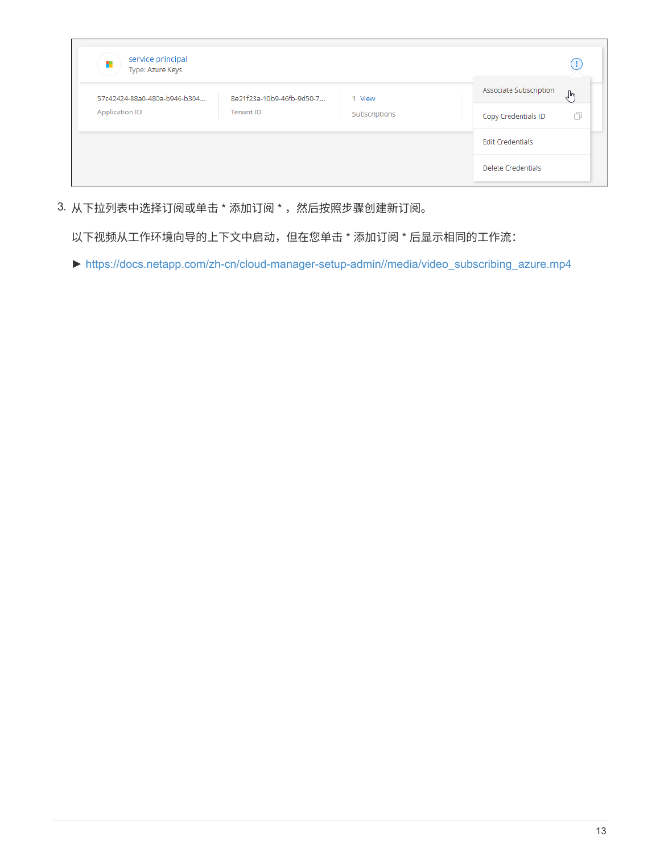| service principal<br>÷<br>Type: Azure Keys |                           |               | . .                          |
|--------------------------------------------|---------------------------|---------------|------------------------------|
| 57c42424-88a0-480a-b946-b304               | 8e21f23a-10b9-46fb-9d50-7 | 1 View        | Associate Subscription<br>لس |
| Application ID                             | Tenant ID                 | Subscriptions | Copy Credentials ID          |
|                                            |                           |               | <b>Edit Credentials</b>      |
|                                            |                           |               | Delete Credentials           |

3. 从下拉列表中选择订阅或单击 \* 添加订阅 \* , 然后按照步骤创建新订阅。

以下视频从工作环境向导的上下文中启动,但在您单击 \* 添加订阅 \* 后显示相同的工作流:

► [https://docs.netapp.com/zh-cn/cloud-manager-setup-admin//media/video\\_subscribing\\_azure.mp4](https://docs.netapp.com/zh-cn/cloud-manager-setup-admin//media/video_subscribing_azure.mp4)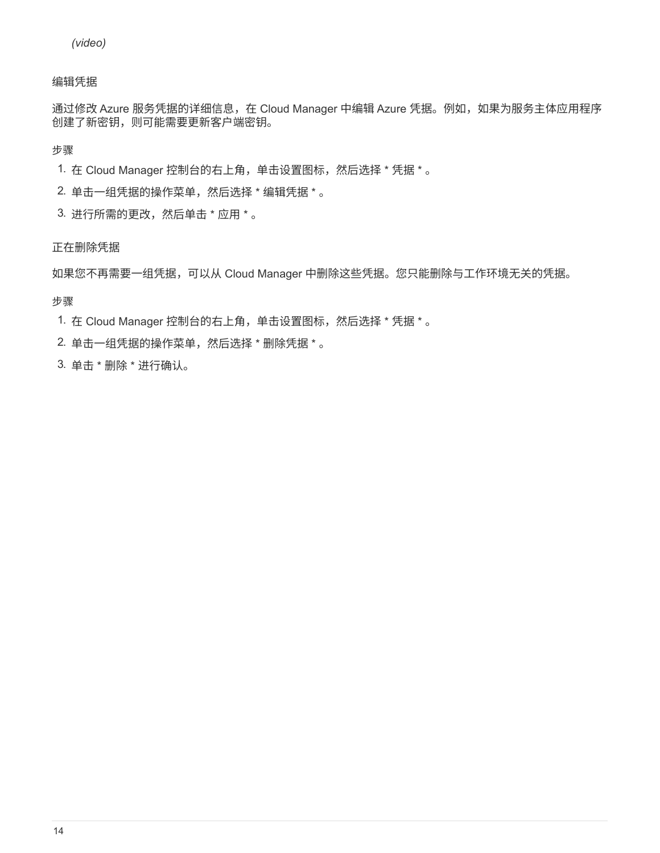#### 编辑凭据

通过修改 Azure 服务凭据的详细信息,在 Cloud Manager 中编辑 Azure 凭据。例如,如果为服务主体应用程序 创建了新密钥,则可能需要更新客户端密钥。

步骤

- 1. 在 Cloud Manager 控制台的右上角,单击设置图标,然后选择 \* 凭据 \* 。
- 2. 单击一组凭据的操作菜单,然后选择 \* 编辑凭据 \* 。
- 3. 进行所需的更改,然后单击 \* 应用 \* 。

#### 正在删除凭据

如果您不再需要一组凭据,可以从 Cloud Manager 中删除这些凭据。您只能删除与工作环境无关的凭据。

步骤

- 1. 在 Cloud Manager 控制台的右上角,单击设置图标,然后选择 \* 凭据 \* 。
- 2. 单击一组凭据的操作菜单,然后选择 \* 删除凭据 \* 。
- 3. 单击 \* 删除 \* 进行确认。